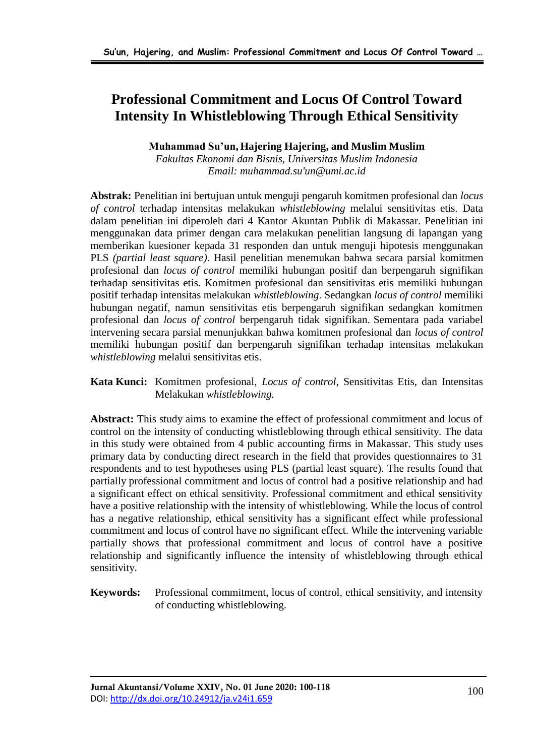# **Professional Commitment and Locus Of Control Toward Intensity In Whistleblowing Through Ethical Sensitivity**

## **Muhammad Su'un, Hajering Hajering, and Muslim Muslim**

*Fakultas Ekonomi dan Bisnis, Universitas Muslim Indonesia Email: muhammad.su'un@umi.ac.id*

**Abstrak:** Penelitian ini bertujuan untuk menguji pengaruh komitmen profesional dan *locus of control* terhadap intensitas melakukan *whistleblowing* melalui sensitivitas etis. Data dalam penelitian ini diperoleh dari 4 Kantor Akuntan Publik di Makassar. Penelitian ini menggunakan data primer dengan cara melakukan penelitian langsung di lapangan yang memberikan kuesioner kepada 31 responden dan untuk menguji hipotesis menggunakan PLS *(partial least square)*. Hasil penelitian menemukan bahwa secara parsial komitmen profesional dan *locus of control* memiliki hubungan positif dan berpengaruh signifikan terhadap sensitivitas etis. Komitmen profesional dan sensitivitas etis memiliki hubungan positif terhadap intensitas melakukan *whistleblowing*. Sedangkan *locus of control* memiliki hubungan negatif, namun sensitivitas etis berpengaruh signifikan sedangkan komitmen profesional dan *locus of control* berpengaruh tidak signifikan. Sementara pada variabel intervening secara parsial menunjukkan bahwa komitmen profesional dan *locus of control* memiliki hubungan positif dan berpengaruh signifikan terhadap intensitas melakukan *whistleblowing* melalui sensitivitas etis.

#### **Kata Kunci:** Komitmen profesional, *Locus of control*, Sensitivitas Etis, dan Intensitas Melakukan *whistleblowing.*

**Abstract:** This study aims to examine the effect of professional commitment and locus of control on the intensity of conducting whistleblowing through ethical sensitivity. The data in this study were obtained from 4 public accounting firms in Makassar. This study uses primary data by conducting direct research in the field that provides questionnaires to 31 respondents and to test hypotheses using PLS (partial least square). The results found that partially professional commitment and locus of control had a positive relationship and had a significant effect on ethical sensitivity. Professional commitment and ethical sensitivity have a positive relationship with the intensity of whistleblowing. While the locus of control has a negative relationship, ethical sensitivity has a significant effect while professional commitment and locus of control have no significant effect. While the intervening variable partially shows that professional commitment and locus of control have a positive relationship and significantly influence the intensity of whistleblowing through ethical sensitivity.

**Keywords:** Professional commitment, locus of control, ethical sensitivity, and intensity of conducting whistleblowing.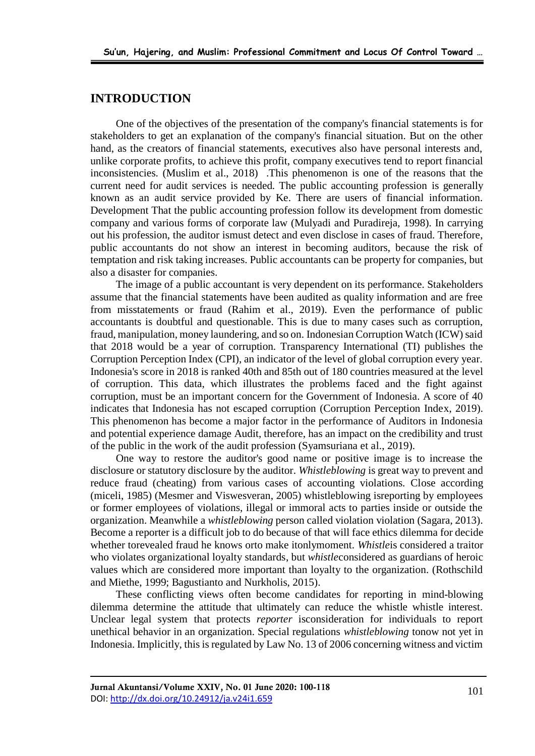#### **INTRODUCTION**

One of the objectives of the presentation of the company's financial statements is for stakeholders to get an explanation of the company's financial situation. But on the other hand, as the creators of financial statements, executives also have personal interests and, unlike corporate profits, to achieve this profit, company executives tend to report financial inconsistencies. (Muslim et al., 2018) .This phenomenon is one of the reasons that the current need for audit services is needed. The public accounting profession is generally known as an audit service provided by Ke. There are users of financial information. Development That the public accounting profession follow its development from domestic company and various forms of corporate law (Mulyadi and Puradireja, 1998). In carrying out his profession, the auditor ismust detect and even disclose in cases of fraud. Therefore, public accountants do not show an interest in becoming auditors, because the risk of temptation and risk taking increases. Public accountants can be property for companies, but also a disaster for companies.

The image of a public accountant is very dependent on its performance. Stakeholders assume that the financial statements have been audited as quality information and are free from misstatements or fraud (Rahim et al., 2019). Even the performance of public accountants is doubtful and questionable. This is due to many cases such as corruption, fraud, manipulation, money laundering, and so on. Indonesian Corruption Watch (ICW) said that 2018 would be a year of corruption. Transparency International (TI) publishes the Corruption Perception Index (CPI), an indicator of the level of global corruption every year. Indonesia's score in 2018 is ranked 40th and 85th out of 180 countries measured at the level of corruption. This data, which illustrates the problems faced and the fight against corruption, must be an important concern for the Government of Indonesia. A score of 40 indicates that Indonesia has not escaped corruption (Corruption Perception Index, 2019). This phenomenon has become a major factor in the performance of Auditors in Indonesia and potential experience damage Audit, therefore, has an impact on the credibility and trust of the public in the work of the audit profession (Syamsuriana et al., 2019).

One way to restore the auditor's good name or positive image is to increase the disclosure or statutory disclosure by the auditor. *Whistleblowing* is great way to prevent and reduce fraud (cheating) from various cases of accounting violations. Close according (miceli, 1985) (Mesmer and Viswesveran, 2005) whistleblowing isreporting by employees or former employees of violations, illegal or immoral acts to parties inside or outside the organization. Meanwhile a *whistleblowing* person called violation violation (Sagara, 2013). Become a reporter is a difficult job to do because of that will face ethics dilemma for decide whether torevealed fraud he knows orto make itonlymoment. *Whistle*is considered a traitor who violates organizational loyalty standards, but *whistle*considered as guardians of heroic values which are considered more important than loyalty to the organization. (Rothschild and Miethe, 1999; Bagustianto and Nurkholis, 2015).

These conflicting views often become candidates for reporting in mind-blowing dilemma determine the attitude that ultimately can reduce the whistle whistle interest. Unclear legal system that protects *reporter* isconsideration for individuals to report unethical behavior in an organization. Special regulations *whistleblowing* tonow not yet in Indonesia. Implicitly, this is regulated by Law No. 13 of 2006 concerning witness and victim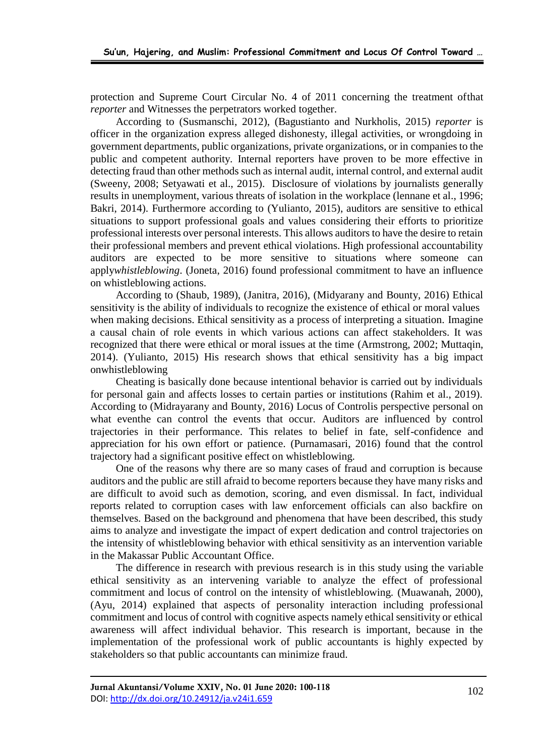protection and Supreme Court Circular No. 4 of 2011 concerning the treatment ofthat *reporter* and Witnesses the perpetrators worked together.

According to (Susmanschi, 2012), (Bagustianto and Nurkholis, 2015) *reporter* is officer in the organization express alleged dishonesty, illegal activities, or wrongdoing in government departments, public organizations, private organizations, or in companies to the public and competent authority. Internal reporters have proven to be more effective in detecting fraud than other methods such as internal audit, internal control, and external audit (Sweeny, 2008; Setyawati et al., 2015). Disclosure of violations by journalists generally results in unemployment, various threats of isolation in the workplace (lennane et al., 1996; Bakri, 2014). Furthermore according to (Yulianto, 2015), auditors are sensitive to ethical situations to support professional goals and values considering their efforts to prioritize professional interests over personal interests. This allows auditors to have the desire to retain their professional members and prevent ethical violations. High professional accountability auditors are expected to be more sensitive to situations where someone can apply*whistleblowing*. (Joneta, 2016) found professional commitment to have an influence on whistleblowing actions.

According to (Shaub, 1989), (Janitra, 2016), (Midyarany and Bounty, 2016) Ethical sensitivity is the ability of individuals to recognize the existence of ethical or moral values when making decisions. Ethical sensitivity as a process of interpreting a situation. Imagine a causal chain of role events in which various actions can affect stakeholders. It was recognized that there were ethical or moral issues at the time (Armstrong, 2002; Muttaqin, 2014). (Yulianto, 2015) His research shows that ethical sensitivity has a big impact onwhistleblowing

Cheating is basically done because intentional behavior is carried out by individuals for personal gain and affects losses to certain parties or institutions (Rahim et al., 2019). According to (Midrayarany and Bounty, 2016) Locus of Controlis perspective personal on what eventhe can control the events that occur. Auditors are influenced by control trajectories in their performance. This relates to belief in fate, self-confidence and appreciation for his own effort or patience. (Purnamasari, 2016) found that the control trajectory had a significant positive effect on whistleblowing.

One of the reasons why there are so many cases of fraud and corruption is because auditors and the public are still afraid to become reporters because they have many risks and are difficult to avoid such as demotion, scoring, and even dismissal. In fact, individual reports related to corruption cases with law enforcement officials can also backfire on themselves. Based on the background and phenomena that have been described, this study aims to analyze and investigate the impact of expert dedication and control trajectories on the intensity of whistleblowing behavior with ethical sensitivity as an intervention variable in the Makassar Public Accountant Office.

The difference in research with previous research is in this study using the variable ethical sensitivity as an intervening variable to analyze the effect of professional commitment and locus of control on the intensity of whistleblowing. (Muawanah, 2000), (Ayu, 2014) explained that aspects of personality interaction including professional commitment and locus of control with cognitive aspects namely ethical sensitivity or ethical awareness will affect individual behavior. This research is important, because in the implementation of the professional work of public accountants is highly expected by stakeholders so that public accountants can minimize fraud.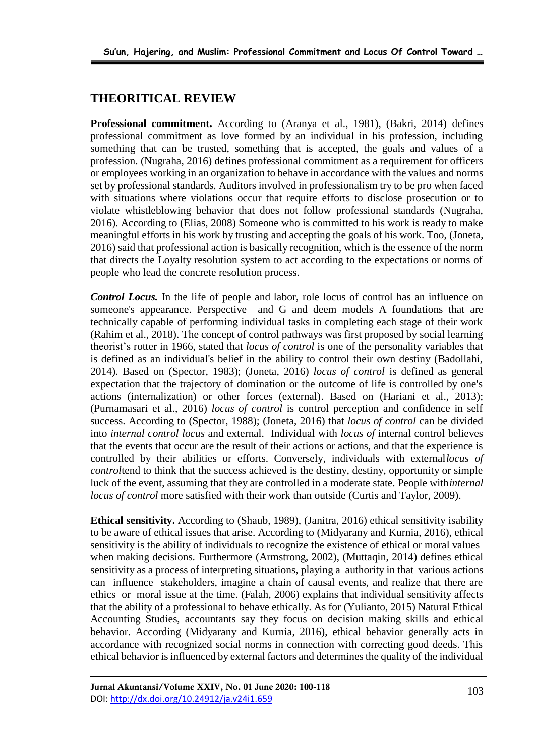## **THEORITICAL REVIEW**

**Professional commitment.** According to (Aranya et al., 1981), (Bakri, 2014) defines professional commitment as love formed by an individual in his profession, including something that can be trusted, something that is accepted, the goals and values of a profession. (Nugraha, 2016) defines professional commitment as a requirement for officers or employees working in an organization to behave in accordance with the values and norms set by professional standards. Auditors involved in professionalism try to be pro when faced with situations where violations occur that require efforts to disclose prosecution or to violate whistleblowing behavior that does not follow professional standards (Nugraha, 2016). According to (Elias, 2008) Someone who is committed to his work is ready to make meaningful efforts in his work by trusting and accepting the goals of his work. Too, (Joneta, 2016) said that professional action is basically recognition, which is the essence of the norm that directs the Loyalty resolution system to act according to the expectations or norms of people who lead the concrete resolution process.

*Control Locus.* In the life of people and labor, role locus of control has an influence on someone's appearance. Perspective and G and deem models A foundations that are technically capable of performing individual tasks in completing each stage of their work (Rahim et al., 2018). The concept of control pathways was first proposed by social learning theorist's rotter in 1966, stated that *locus of control* is one of the personality variables that is defined as an individual's belief in the ability to control their own destiny (Badollahi, 2014). Based on (Spector, 1983); (Joneta, 2016) *locus of control* is defined as general expectation that the trajectory of domination or the outcome of life is controlled by one's actions (internalization) or other forces (external). Based on (Hariani et al., 2013); (Purnamasari et al., 2016) *locus of control* is control perception and confidence in self success. According to (Spector, 1988); (Joneta, 2016) that *locus of control* can be divided into *internal control locus* and external. Individual with *locus of* internal control believes that the events that occur are the result of their actions or actions, and that the experience is controlled by their abilities or efforts. Conversely, individuals with external*locus of control*tend to think that the success achieved is the destiny, destiny, opportunity or simple luck of the event, assuming that they are controlled in a moderate state. People with*internal locus of control* more satisfied with their work than outside (Curtis and Taylor, 2009).

**Ethical sensitivity.** According to (Shaub, 1989), (Janitra, 2016) ethical sensitivity isability to be aware of ethical issues that arise. According to (Midyarany and Kurnia, 2016), ethical sensitivity is the ability of individuals to recognize the existence of ethical or moral values when making decisions. Furthermore (Armstrong, 2002), (Muttaqin, 2014) defines ethical sensitivity as a process of interpreting situations, playing a authority in that various actions can influence stakeholders, imagine a chain of causal events, and realize that there are ethics or moral issue at the time. (Falah, 2006) explains that individual sensitivity affects that the ability of a professional to behave ethically. As for (Yulianto, 2015) Natural Ethical Accounting Studies, accountants say they focus on decision making skills and ethical behavior. According (Midyarany and Kurnia, 2016), ethical behavior generally acts in accordance with recognized social norms in connection with correcting good deeds. This ethical behavior is influenced by external factors and determines the quality of the individual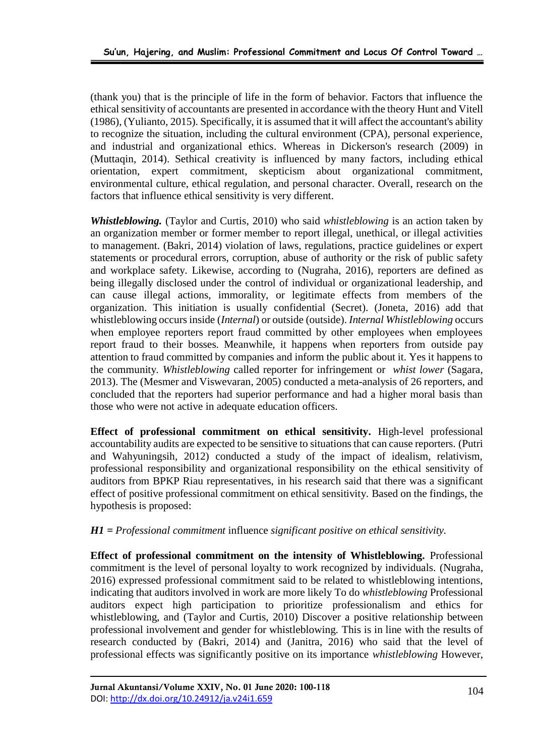(thank you) that is the principle of life in the form of behavior. Factors that influence the ethical sensitivity of accountants are presented in accordance with the theory Hunt and Vitell (1986), (Yulianto, 2015). Specifically, it is assumed that it will affect the accountant's ability to recognize the situation, including the cultural environment (CPA), personal experience, and industrial and organizational ethics. Whereas in Dickerson's research (2009) in (Muttaqin, 2014). Sethical creativity is influenced by many factors, including ethical orientation, expert commitment, skepticism about organizational commitment, environmental culture, ethical regulation, and personal character. Overall, research on the factors that influence ethical sensitivity is very different.

*Whistleblowing.* (Taylor and Curtis, 2010) who said *whistleblowing* is an action taken by an organization member or former member to report illegal, unethical, or illegal activities to management. (Bakri, 2014) violation of laws, regulations, practice guidelines or expert statements or procedural errors, corruption, abuse of authority or the risk of public safety and workplace safety. Likewise, according to (Nugraha, 2016), reporters are defined as being illegally disclosed under the control of individual or organizational leadership, and can cause illegal actions, immorality, or legitimate effects from members of the organization. This initiation is usually confidential (Secret). (Joneta, 2016) add that whistleblowing occurs inside (*Internal*) or outside (outside). *Internal Whistleblowing* occurs when employee reporters report fraud committed by other employees when employees report fraud to their bosses. Meanwhile, it happens when reporters from outside pay attention to fraud committed by companies and inform the public about it. Yes it happens to the community. *Whistleblowing* called reporter for infringement or *whist lower* (Sagara, 2013). The (Mesmer and Viswevaran, 2005) conducted a meta-analysis of 26 reporters, and concluded that the reporters had superior performance and had a higher moral basis than those who were not active in adequate education officers.

**Effect of professional commitment on ethical sensitivity.** High-level professional accountability audits are expected to be sensitive to situations that can cause reporters. (Putri and Wahyuningsih, 2012) conducted a study of the impact of idealism, relativism, professional responsibility and organizational responsibility on the ethical sensitivity of auditors from BPKP Riau representatives, in his research said that there was a significant effect of positive professional commitment on ethical sensitivity. Based on the findings, the hypothesis is proposed:

#### *H1 = Professional commitment* influence *significant positive on ethical sensitivity.*

**Effect of professional commitment on the intensity of Whistleblowing.** Professional commitment is the level of personal loyalty to work recognized by individuals. (Nugraha, 2016) expressed professional commitment said to be related to whistleblowing intentions, indicating that auditors involved in work are more likely To do *whistleblowing* Professional auditors expect high participation to prioritize professionalism and ethics for whistleblowing, and (Taylor and Curtis, 2010) Discover a positive relationship between professional involvement and gender for whistleblowing. This is in line with the results of research conducted by (Bakri, 2014) and (Janitra, 2016) who said that the level of professional effects was significantly positive on its importance *whistleblowing* However,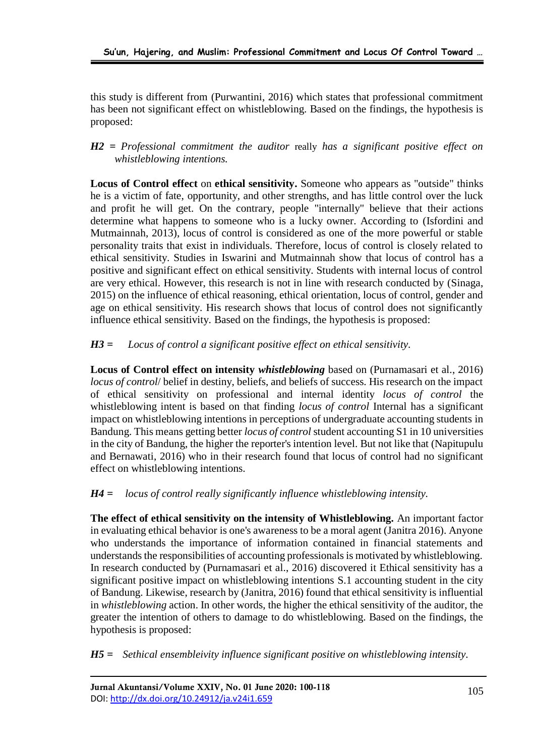this study is different from (Purwantini, 2016) which states that professional commitment has been not significant effect on whistleblowing. Based on the findings, the hypothesis is proposed:

*H2 = Professional commitment the auditor* really *has a significant positive effect on whistleblowing intentions.*

**Locus of Control effect** on **ethical sensitivity.** Someone who appears as "outside" thinks he is a victim of fate, opportunity, and other strengths, and has little control over the luck and profit he will get. On the contrary, people "internally" believe that their actions determine what happens to someone who is a lucky owner. According to (Isfordini and Mutmainnah, 2013), locus of control is considered as one of the more powerful or stable personality traits that exist in individuals. Therefore, locus of control is closely related to ethical sensitivity. Studies in Iswarini and Mutmainnah show that locus of control has a positive and significant effect on ethical sensitivity. Students with internal locus of control are very ethical. However, this research is not in line with research conducted by (Sinaga, 2015) on the influence of ethical reasoning, ethical orientation, locus of control, gender and age on ethical sensitivity. His research shows that locus of control does not significantly influence ethical sensitivity. Based on the findings, the hypothesis is proposed:

### *H3 = Locus of control a significant positive effect on ethical sensitivity.*

**Locus of Control effect on intensity** *whistleblowing* based on (Purnamasari et al., 2016) *locus of control*/ belief in destiny, beliefs, and beliefs of success. His research on the impact of ethical sensitivity on professional and internal identity *locus of control* the whistleblowing intent is based on that finding *locus of control* Internal has a significant impact on whistleblowing intentions in perceptions of undergraduate accounting students in Bandung. This means getting better *locus of control* student accounting S1 in 10 universities in the city of Bandung, the higher the reporter's intention level. But not like that (Napitupulu and Bernawati, 2016) who in their research found that locus of control had no significant effect on whistleblowing intentions.

*H4 = locus of control really significantly influence whistleblowing intensity.*

**The effect of ethical sensitivity on the intensity of Whistleblowing.** An important factor in evaluating ethical behavior is one's awareness to be a moral agent (Janitra 2016). Anyone who understands the importance of information contained in financial statements and understands the responsibilities of accounting professionals is motivated by whistleblowing. In research conducted by (Purnamasari et al., 2016) discovered it Ethical sensitivity has a significant positive impact on whistleblowing intentions S.1 accounting student in the city of Bandung. Likewise, research by (Janitra, 2016) found that ethical sensitivity is influential in *whistleblowing* action. In other words, the higher the ethical sensitivity of the auditor, the greater the intention of others to damage to do whistleblowing. Based on the findings, the hypothesis is proposed:

*H5 = Sethical ensembleivity influence significant positive on whistleblowing intensity.*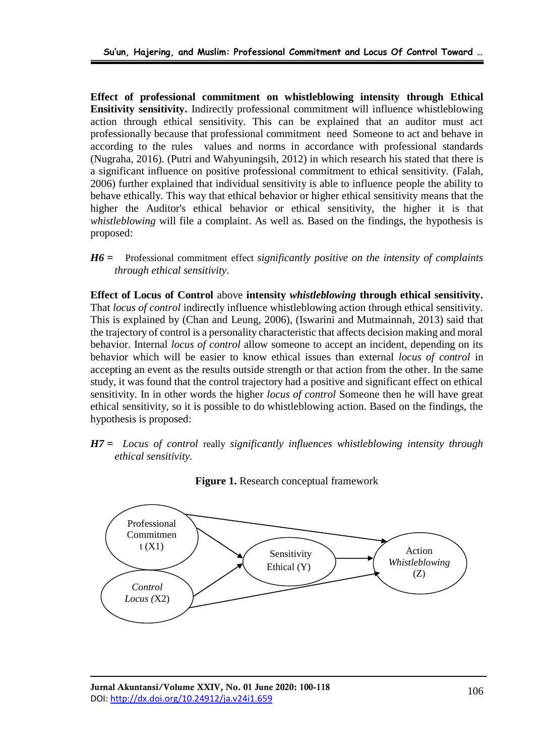**Effect of professional commitment on whistleblowing intensity through Ethical Ensitivity sensitivity.** Indirectly professional commitment will influence whistleblowing action through ethical sensitivity. This can be explained that an auditor must act professionally because that professional commitment need Someone to act and behave in according to the rules values and norms in accordance with professional standards (Nugraha, 2016). (Putri and Wahyuningsih, 2012) in which research his stated that there is a significant influence on positive professional commitment to ethical sensitivity. (Falah, 2006) further explained that individual sensitivity is able to influence people the ability to behave ethically. This way that ethical behavior or higher ethical sensitivity means that the higher the Auditor's ethical behavior or ethical sensitivity, the higher it is that *whistleblowing* will file a complaint. As well as. Based on the findings, the hypothesis is proposed:

*H6 =* Professional commitment effect *significantly positive on the intensity of complaints through ethical sensitivity.*

**Effect of Locus of Control** above **intensity** *whistleblowing* **through ethical sensitivity.** That *locus of control* indirectly influence whistleblowing action through ethical sensitivity. This is explained by (Chan and Leung, 2006), (Iswarini and Mutmainnah, 2013) said that the trajectory of control is a personality characteristic that affects decision making and moral behavior. Internal *locus of control* allow someone to accept an incident, depending on its behavior which will be easier to know ethical issues than external *locus of control* in accepting an event as the results outside strength or that action from the other. In the same study, it was found that the control trajectory had a positive and significant effect on ethical sensitivity. In in other words the higher *locus of control* Someone then he will have great ethical sensitivity, so it is possible to do whistleblowing action. Based on the findings, the hypothesis is proposed:

*H7 = Locus of control* really *significantly influences whistleblowing intensity through ethical sensitivity.*



**Figure 1.** Research conceptual framework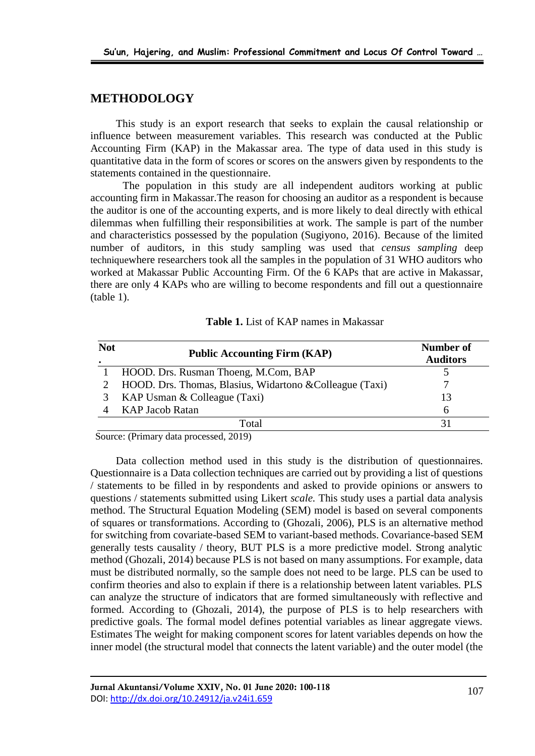#### **METHODOLOGY**

This study is an export research that seeks to explain the causal relationship or influence between measurement variables. This research was conducted at the Public Accounting Firm (KAP) in the Makassar area. The type of data used in this study is quantitative data in the form of scores or scores on the answers given by respondents to the statements contained in the questionnaire.

The population in this study are all independent auditors working at public accounting firm in Makassar.The reason for choosing an auditor as a respondent is because the auditor is one of the accounting experts, and is more likely to deal directly with ethical dilemmas when fulfilling their responsibilities at work. The sample is part of the number and characteristics possessed by the population (Sugiyono, 2016). Because of the limited number of auditors, in this study sampling was used that *census sampling* deep techniquewhere researchers took all the samples in the population of 31 WHO auditors who worked at Makassar Public Accounting Firm. Of the 6 KAPs that are active in Makassar, there are only 4 KAPs who are willing to become respondents and fill out a questionnaire (table 1).

| <b>Not</b> | <b>Public Accounting Firm (KAP)</b>                      | Number of<br><b>Auditors</b> |
|------------|----------------------------------------------------------|------------------------------|
|            | HOOD. Drs. Rusman Thoeng, M.Com, BAP                     |                              |
|            | HOOD. Drs. Thomas, Blasius, Widartono & Colleague (Taxi) |                              |
|            | KAP Usman $&$ Colleague (Taxi)                           | 13                           |
|            | KAP Jacob Ratan                                          | <sub>0</sub>                 |
|            | Total                                                    | 31                           |

**Table 1.** List of KAP names in Makassar

Source: (Primary data processed, 2019)

Data collection method used in this study is the distribution of questionnaires. Questionnaire is a Data collection techniques are carried out by providing a list of questions / statements to be filled in by respondents and asked to provide opinions or answers to questions / statements submitted using Likert *scale.* This study uses a partial data analysis method. The Structural Equation Modeling (SEM) model is based on several components of squares or transformations. According to (Ghozali, 2006), PLS is an alternative method for switching from covariate-based SEM to variant-based methods. Covariance-based SEM generally tests causality / theory, BUT PLS is a more predictive model. Strong analytic method (Ghozali, 2014) because PLS is not based on many assumptions. For example, data must be distributed normally, so the sample does not need to be large. PLS can be used to confirm theories and also to explain if there is a relationship between latent variables. PLS can analyze the structure of indicators that are formed simultaneously with reflective and formed. According to (Ghozali, 2014), the purpose of PLS is to help researchers with predictive goals. The formal model defines potential variables as linear aggregate views. Estimates The weight for making component scores for latent variables depends on how the inner model (the structural model that connects the latent variable) and the outer model (the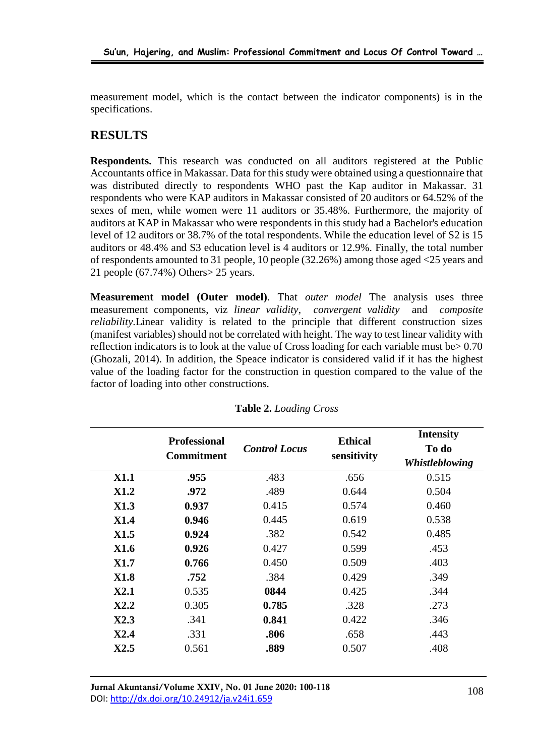measurement model, which is the contact between the indicator components) is in the specifications.

## **RESULTS**

**Respondents.** This research was conducted on all auditors registered at the Public Accountants office in Makassar. Data for this study were obtained using a questionnaire that was distributed directly to respondents WHO past the Kap auditor in Makassar. 31 respondents who were KAP auditors in Makassar consisted of 20 auditors or 64.52% of the sexes of men, while women were 11 auditors or 35.48%. Furthermore, the majority of auditors at KAP in Makassar who were respondents in this study had a Bachelor's education level of 12 auditors or 38.7% of the total respondents. While the education level of S2 is 15 auditors or 48.4% and S3 education level is 4 auditors or 12.9%. Finally, the total number of respondents amounted to 31 people, 10 people (32.26%) among those aged <25 years and 21 people (67.74%) Others> 25 years.

**Measurement model (Outer model)**. That *outer model* The analysis uses three measurement components, viz *linear validity*, *convergent validity* and *composite reliability.* Linear validity is related to the principle that different construction sizes (manifest variables) should not be correlated with height. The way to test linear validity with reflection indicators is to look at the value of Cross loading for each variable must be  $> 0.70$ (Ghozali, 2014). In addition, the Speace indicator is considered valid if it has the highest value of the loading factor for the construction in question compared to the value of the factor of loading into other constructions.

|             | <b>Professional</b><br><b>Commitment</b> | <b>Control Locus</b> | <b>Ethical</b><br>sensitivity | <b>Intensity</b><br>To do<br>Whistleblowing |
|-------------|------------------------------------------|----------------------|-------------------------------|---------------------------------------------|
| <b>X1.1</b> | .955                                     | .483                 | .656                          | 0.515                                       |
| <b>X1.2</b> | .972                                     | .489                 | 0.644                         | 0.504                                       |
| <b>X1.3</b> | 0.937                                    | 0.415                | 0.574                         | 0.460                                       |
| <b>X1.4</b> | 0.946                                    | 0.445                | 0.619                         | 0.538                                       |
| <b>X1.5</b> | 0.924                                    | .382                 | 0.542                         | 0.485                                       |
| <b>X1.6</b> | 0.926                                    | 0.427                | 0.599                         | .453                                        |
| <b>X1.7</b> | 0.766                                    | 0.450                | 0.509                         | .403                                        |
| <b>X1.8</b> | .752                                     | .384                 | 0.429                         | .349                                        |
| X2.1        | 0.535                                    | 0844                 | 0.425                         | .344                                        |
| X2.2        | 0.305                                    | 0.785                | .328                          | .273                                        |
| X2.3        | .341                                     | 0.841                | 0.422                         | .346                                        |
| X2.4        | .331                                     | .806                 | .658                          | .443                                        |
| X2.5        | 0.561                                    | .889                 | 0.507                         | .408                                        |

**Table 2.** *Loading Cross*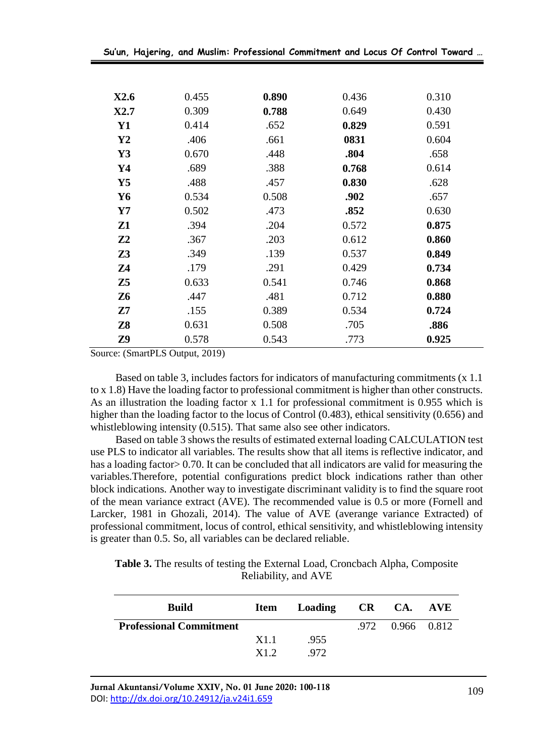|  |  |  | Su'un, Hajering, and Muslim: Professional Commitment and Locus Of Control Toward … |  |  |  |  |  |  |
|--|--|--|------------------------------------------------------------------------------------|--|--|--|--|--|--|
|--|--|--|------------------------------------------------------------------------------------|--|--|--|--|--|--|

| X2.6           | 0.455 | 0.890 | 0.436 | 0.310 |
|----------------|-------|-------|-------|-------|
| X2.7           | 0.309 | 0.788 | 0.649 | 0.430 |
| $\mathbf{Y1}$  | 0.414 | .652  | 0.829 | 0.591 |
| $\mathbf{Y2}$  | .406  | .661  | 0831  | 0.604 |
| $\mathbf{Y}3$  | 0.670 | .448  | .804  | .658  |
| Y4             | .689  | .388  | 0.768 | 0.614 |
| $\mathbf{Y}$ 5 | .488  | .457  | 0.830 | .628  |
| Y6             | 0.534 | 0.508 | .902  | .657  |
| $\mathbf{Y}$   | 0.502 | .473  | .852  | 0.630 |
| Z1             | .394  | .204  | 0.572 | 0.875 |
| Z <sub>2</sub> | .367  | .203  | 0.612 | 0.860 |
| Z <sub>3</sub> | .349  | .139  | 0.537 | 0.849 |
| Z <sub>4</sub> | .179  | .291  | 0.429 | 0.734 |
| Z <sub>5</sub> | 0.633 | 0.541 | 0.746 | 0.868 |
| <b>Z6</b>      | .447  | .481  | 0.712 | 0.880 |
| Z7             | .155  | 0.389 | 0.534 | 0.724 |
| <b>Z8</b>      | 0.631 | 0.508 | .705  | .886  |
| Z9             | 0.578 | 0.543 | .773  | 0.925 |

Source: (SmartPLS Output, 2019)

Based on table 3, includes factors for indicators of manufacturing commitments (x 1.1 to x 1.8) Have the loading factor to professional commitment is higher than other constructs. As an illustration the loading factor x 1.1 for professional commitment is 0.955 which is higher than the loading factor to the locus of Control (0.483), ethical sensitivity (0.656) and whistleblowing intensity (0.515). That same also see other indicators.

Based on table 3 shows the results of estimated external loading CALCULATION test use PLS to indicator all variables. The results show that all items is reflective indicator, and has a loading factor > 0.70. It can be concluded that all indicators are valid for measuring the variables.Therefore, potential configurations predict block indications rather than other block indications. Another way to investigate discriminant validity is to find the square root of the mean variance extract (AVE). The recommended value is 0.5 or more (Fornell and Larcker, 1981 in Ghozali, 2014). The value of AVE (averange variance Extracted) of professional commitment, locus of control, ethical sensitivity, and whistleblowing intensity is greater than 0.5. So, all variables can be declared reliable.

**Table 3.** The results of testing the External Load, Croncbach Alpha, Composite Reliability, and AVE

| <b>Build</b>                   |      | Item Loading CR CA. AVE |                  |  |
|--------------------------------|------|-------------------------|------------------|--|
| <b>Professional Commitment</b> |      |                         | .972 0.966 0.812 |  |
|                                | X1.1 | .955                    |                  |  |
|                                | X1.2 | .972                    |                  |  |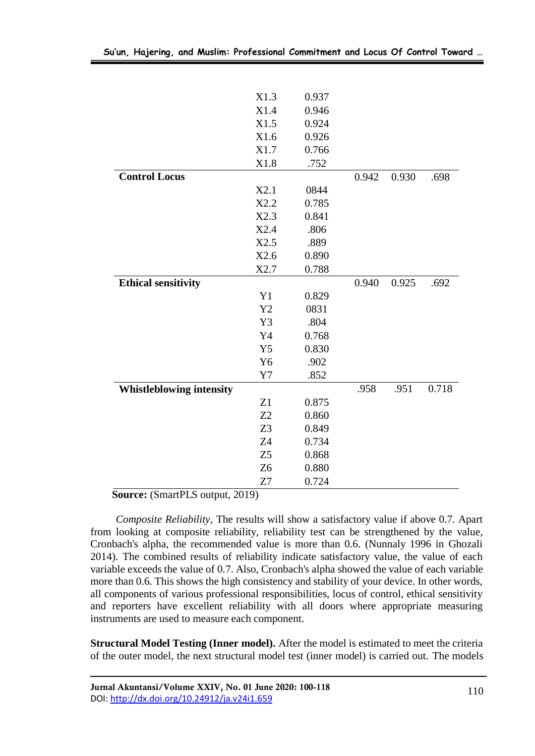|                                 | X1.3           | 0.937 |       |       |       |
|---------------------------------|----------------|-------|-------|-------|-------|
|                                 | X1.4           | 0.946 |       |       |       |
|                                 | X1.5           | 0.924 |       |       |       |
|                                 | X1.6           | 0.926 |       |       |       |
|                                 | X1.7           | 0.766 |       |       |       |
|                                 | X1.8           | .752  |       |       |       |
| <b>Control Locus</b>            |                |       | 0.942 | 0.930 | .698  |
|                                 | X2.1           | 0844  |       |       |       |
|                                 | X2.2           | 0.785 |       |       |       |
|                                 | X2.3           | 0.841 |       |       |       |
|                                 | X2.4           | .806  |       |       |       |
|                                 | X2.5           | .889  |       |       |       |
|                                 | X2.6           | 0.890 |       |       |       |
|                                 | X2.7           | 0.788 |       |       |       |
| <b>Ethical sensitivity</b>      |                |       | 0.940 | 0.925 | .692  |
|                                 | Y1             | 0.829 |       |       |       |
|                                 | Y2             | 0831  |       |       |       |
|                                 | Y3             | .804  |       |       |       |
|                                 | Y4             | 0.768 |       |       |       |
|                                 | Y5             | 0.830 |       |       |       |
|                                 | Y <sub>6</sub> | .902  |       |       |       |
|                                 | Y7             | .852  |       |       |       |
| <b>Whistleblowing intensity</b> |                |       | .958  | .951  | 0.718 |
|                                 | Z1             | 0.875 |       |       |       |
|                                 | Z2             | 0.860 |       |       |       |
|                                 | Z <sub>3</sub> | 0.849 |       |       |       |
|                                 | Z4             | 0.734 |       |       |       |
|                                 | Z5             | 0.868 |       |       |       |
|                                 | Z <sub>6</sub> | 0.880 |       |       |       |
|                                 | Z7             | 0.724 |       |       |       |

 **Source:** (SmartPLS output, 2019)

*Composite Reliability,* The results will show a satisfactory value if above 0.7. Apart from looking at composite reliability, reliability test can be strengthened by the value, Cronbach's alpha, the recommended value is more than 0.6. (Nunnaly 1996 in Ghozali 2014). The combined results of reliability indicate satisfactory value, the value of each variable exceeds the value of 0.7. Also, Cronbach's alpha showed the value of each variable more than 0.6. This shows the high consistency and stability of your device. In other words, all components of various professional responsibilities, locus of control, ethical sensitivity and reporters have excellent reliability with all doors where appropriate measuring instruments are used to measure each component.

**Structural Model Testing (Inner model).** After the model is estimated to meet the criteria of the outer model, the next structural model test (inner model) is carried out. The models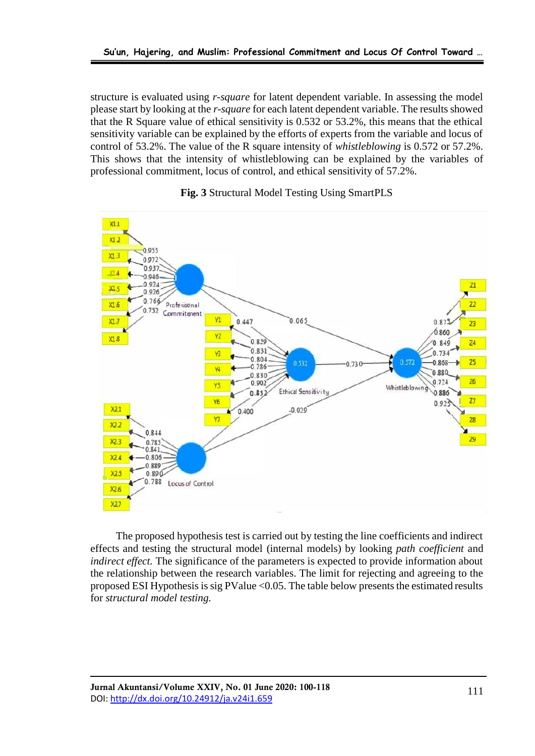structure is evaluated using *r-square* for latent dependent variable. In assessing the model please start by looking at the *r-square* for each latent dependent variable. The results showed that the R Square value of ethical sensitivity is 0.532 or 53.2%, this means that the ethical sensitivity variable can be explained by the efforts of experts from the variable and locus of control of 53.2%. The value of the R square intensity of *whistleblowing* is 0.572 or 57.2%. This shows that the intensity of whistleblowing can be explained by the variables of professional commitment, locus of control, and ethical sensitivity of 57.2%.



#### **Fig. 3** Structural Model Testing Using SmartPLS

The proposed hypothesis test is carried out by testing the line coefficients and indirect effects and testing the structural model (internal models) by looking *path coefficient* and *indirect effect.* The significance of the parameters is expected to provide information about the relationship between the research variables. The limit for rejecting and agreeing to the proposed ESI Hypothesis is sig PValue <0.05. The table below presents the estimated results for *structural model testing.*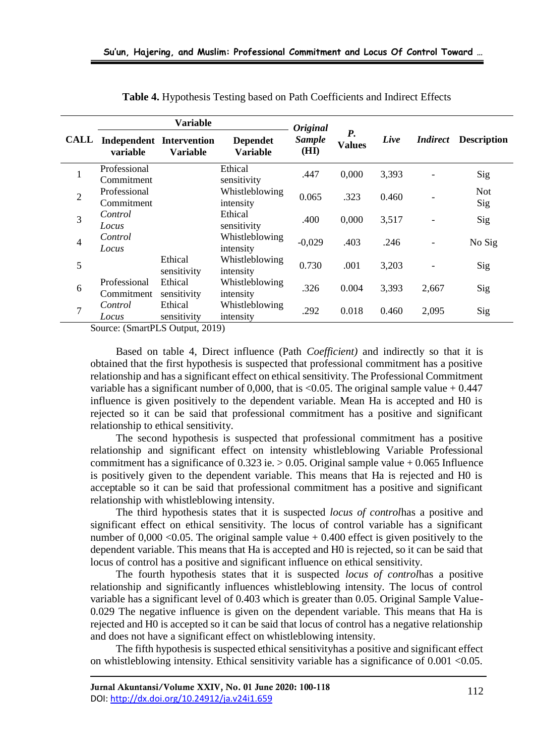|                | <b>Variable</b>            |                                             |                                    | <b>Original</b>       |                            |       |                 |                    |
|----------------|----------------------------|---------------------------------------------|------------------------------------|-----------------------|----------------------------|-------|-----------------|--------------------|
| <b>CALL</b>    | variable                   | <b>Independent Intervention</b><br>Variable | <b>Dependet</b><br><b>Variable</b> | <b>Sample</b><br>(HI) | <b>P.</b><br><b>Values</b> | Live  | <i>Indirect</i> | <b>Description</b> |
| 1              | Professional<br>Commitment |                                             | Ethical<br>sensitivity             | .447                  | 0,000                      | 3,393 |                 | Sig                |
| $\overline{2}$ | Professional<br>Commitment |                                             | Whistleblowing<br>intensity        | 0.065                 | .323                       | 0.460 |                 | <b>Not</b><br>Sig  |
| 3              | Control<br>Locus           |                                             | Ethical<br>sensitivity             | .400                  | 0,000                      | 3,517 |                 | Sig                |
| $\overline{4}$ | Control<br>Locus           |                                             | Whistleblowing<br>intensity        | $-0.029$              | .403                       | .246  |                 | No Sig             |
| 5              |                            | Ethical<br>sensitivity                      | Whistleblowing<br>intensity        | 0.730                 | .001                       | 3,203 |                 | Sig                |
| 6              | Professional<br>Commitment | Ethical<br>sensitivity                      | Whistleblowing<br>intensity        | .326                  | 0.004                      | 3,393 | 2,667           | Sig                |
| 7              | Control<br>Locus           | Ethical<br>sensitivity                      | Whistleblowing<br>intensity        | .292                  | 0.018                      | 0.460 | 2,095           | Sig                |

**Table 4.** Hypothesis Testing based on Path Coefficients and Indirect Effects

Source: (SmartPLS Output, 2019)

Based on table 4, Direct influence (Path *Coefficient)* and indirectly so that it is obtained that the first hypothesis is suspected that professional commitment has a positive relationship and has a significant effect on ethical sensitivity. The Professional Commitment variable has a significant number of 0,000, that is <0.05. The original sample value  $+ 0.447$ influence is given positively to the dependent variable. Mean Ha is accepted and H0 is rejected so it can be said that professional commitment has a positive and significant relationship to ethical sensitivity.

The second hypothesis is suspected that professional commitment has a positive relationship and significant effect on intensity whistleblowing Variable Professional commitment has a significance of  $0.323$  ie.  $> 0.05$ . Original sample value + 0.065 Influence is positively given to the dependent variable. This means that Ha is rejected and H0 is acceptable so it can be said that professional commitment has a positive and significant relationship with whistleblowing intensity.

The third hypothesis states that it is suspected *locus of control*has a positive and significant effect on ethical sensitivity. The locus of control variable has a significant number of  $0,000 \le 0.05$ . The original sample value  $+ 0.400$  effect is given positively to the dependent variable. This means that Ha is accepted and H0 is rejected, so it can be said that locus of control has a positive and significant influence on ethical sensitivity.

The fourth hypothesis states that it is suspected *locus of control*has a positive relationship and significantly influences whistleblowing intensity. The locus of control variable has a significant level of 0.403 which is greater than 0.05. Original Sample Value-0.029 The negative influence is given on the dependent variable. This means that Ha is rejected and H0 is accepted so it can be said that locus of control has a negative relationship and does not have a significant effect on whistleblowing intensity.

The fifth hypothesis is suspected ethical sensitivityhas a positive and significant effect on whistleblowing intensity. Ethical sensitivity variable has a significance of 0.001 <0.05.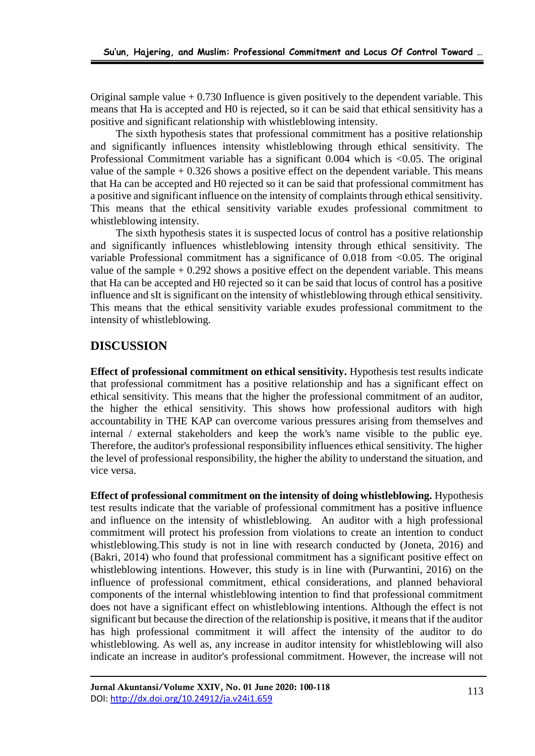Original sample value  $+ 0.730$  Influence is given positively to the dependent variable. This means that Ha is accepted and H0 is rejected, so it can be said that ethical sensitivity has a positive and significant relationship with whistleblowing intensity.

The sixth hypothesis states that professional commitment has a positive relationship and significantly influences intensity whistleblowing through ethical sensitivity. The Professional Commitment variable has a significant 0.004 which is <0.05. The original value of the sample  $+ 0.326$  shows a positive effect on the dependent variable. This means that Ha can be accepted and H0 rejected so it can be said that professional commitment has a positive and significant influence on the intensity of complaints through ethical sensitivity. This means that the ethical sensitivity variable exudes professional commitment to whistleblowing intensity.

The sixth hypothesis states it is suspected locus of control has a positive relationship and significantly influences whistleblowing intensity through ethical sensitivity. The variable Professional commitment has a significance of  $0.018$  from  $< 0.05$ . The original value of the sample  $+ 0.292$  shows a positive effect on the dependent variable. This means that Ha can be accepted and H0 rejected so it can be said that locus of control has a positive influence and sIt is significant on the intensity of whistleblowing through ethical sensitivity. This means that the ethical sensitivity variable exudes professional commitment to the intensity of whistleblowing.

## **DISCUSSION**

**Effect of professional commitment on ethical sensitivity.** Hypothesis test results indicate that professional commitment has a positive relationship and has a significant effect on ethical sensitivity. This means that the higher the professional commitment of an auditor, the higher the ethical sensitivity. This shows how professional auditors with high accountability in THE KAP can overcome various pressures arising from themselves and internal / external stakeholders and keep the work's name visible to the public eye. Therefore, the auditor's professional responsibility influences ethical sensitivity. The higher the level of professional responsibility, the higher the ability to understand the situation, and vice versa.

**Effect of professional commitment on the intensity of doing whistleblowing.** Hypothesis test results indicate that the variable of professional commitment has a positive influence and influence on the intensity of whistleblowing. An auditor with a high professional commitment will protect his profession from violations to create an intention to conduct whistleblowing.This study is not in line with research conducted by (Joneta, 2016) and (Bakri, 2014) who found that professional commitment has a significant positive effect on whistleblowing intentions. However, this study is in line with (Purwantini, 2016) on the influence of professional commitment, ethical considerations, and planned behavioral components of the internal whistleblowing intention to find that professional commitment does not have a significant effect on whistleblowing intentions. Although the effect is not significant but because the direction of the relationship is positive, it means that if the auditor has high professional commitment it will affect the intensity of the auditor to do whistleblowing. As well as, any increase in auditor intensity for whistleblowing will also indicate an increase in auditor's professional commitment. However, the increase will not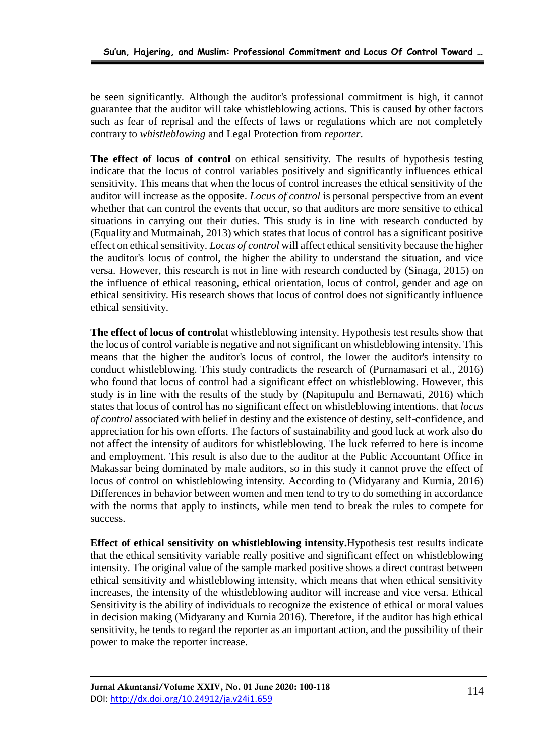be seen significantly. Although the auditor's professional commitment is high, it cannot guarantee that the auditor will take whistleblowing actions. This is caused by other factors such as fear of reprisal and the effects of laws or regulations which are not completely contrary to *whistleblowing* and Legal Protection from *reporter*.

**The effect of locus of control** on ethical sensitivity. The results of hypothesis testing indicate that the locus of control variables positively and significantly influences ethical sensitivity. This means that when the locus of control increases the ethical sensitivity of the auditor will increase as the opposite. *Locus of control* is personal perspective from an event whether that can control the events that occur, so that auditors are more sensitive to ethical situations in carrying out their duties. This study is in line with research conducted by (Equality and Mutmainah, 2013) which states that locus of control has a significant positive effect on ethical sensitivity. *Locus of control* will affect ethical sensitivity because the higher the auditor's locus of control, the higher the ability to understand the situation, and vice versa. However, this research is not in line with research conducted by (Sinaga, 2015) on the influence of ethical reasoning, ethical orientation, locus of control, gender and age on ethical sensitivity. His research shows that locus of control does not significantly influence ethical sensitivity.

**The effect of locus of control**at whistleblowing intensity. Hypothesis test results show that the locus of control variable is negative and not significant on whistleblowing intensity. This means that the higher the auditor's locus of control, the lower the auditor's intensity to conduct whistleblowing. This study contradicts the research of (Purnamasari et al., 2016) who found that locus of control had a significant effect on whistleblowing. However, this study is in line with the results of the study by (Napitupulu and Bernawati, 2016) which states that locus of control has no significant effect on whistleblowing intentions. that *locus of control* associated with belief in destiny and the existence of destiny, self-confidence, and appreciation for his own efforts. The factors of sustainability and good luck at work also do not affect the intensity of auditors for whistleblowing. The luck referred to here is income and employment. This result is also due to the auditor at the Public Accountant Office in Makassar being dominated by male auditors, so in this study it cannot prove the effect of locus of control on whistleblowing intensity. According to (Midyarany and Kurnia, 2016) Differences in behavior between women and men tend to try to do something in accordance with the norms that apply to instincts, while men tend to break the rules to compete for success.

**Effect of ethical sensitivity on whistleblowing intensity.**Hypothesis test results indicate that the ethical sensitivity variable really positive and significant effect on whistleblowing intensity. The original value of the sample marked positive shows a direct contrast between ethical sensitivity and whistleblowing intensity, which means that when ethical sensitivity increases, the intensity of the whistleblowing auditor will increase and vice versa. Ethical Sensitivity is the ability of individuals to recognize the existence of ethical or moral values in decision making (Midyarany and Kurnia 2016). Therefore, if the auditor has high ethical sensitivity, he tends to regard the reporter as an important action, and the possibility of their power to make the reporter increase.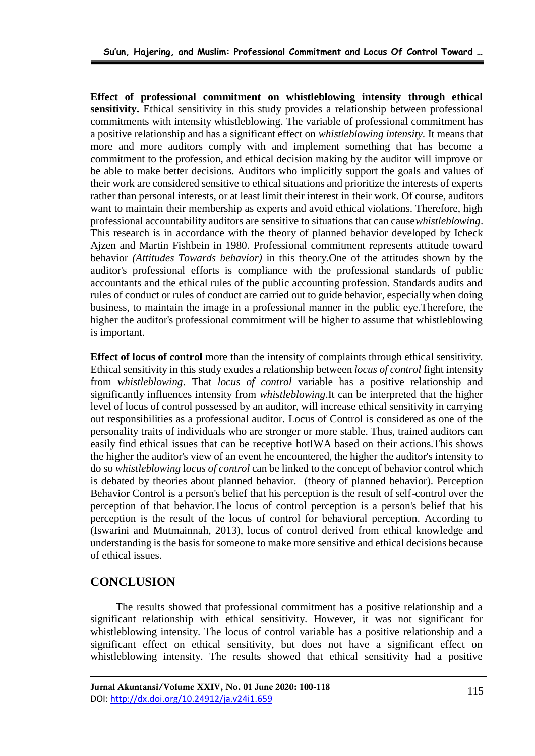**Effect of professional commitment on whistleblowing intensity through ethical sensitivity.** Ethical sensitivity in this study provides a relationship between professional commitments with intensity whistleblowing. The variable of professional commitment has a positive relationship and has a significant effect on *whistleblowing intensity.* It means that more and more auditors comply with and implement something that has become a commitment to the profession, and ethical decision making by the auditor will improve or be able to make better decisions. Auditors who implicitly support the goals and values of their work are considered sensitive to ethical situations and prioritize the interests of experts rather than personal interests, or at least limit their interest in their work. Of course, auditors want to maintain their membership as experts and avoid ethical violations. Therefore, high professional accountability auditors are sensitive to situations that can cause*whistleblowing*. This research is in accordance with the theory of planned behavior developed by Icheck Ajzen and Martin Fishbein in 1980. Professional commitment represents attitude toward behavior *(Attitudes Towards behavior)* in this theory.One of the attitudes shown by the auditor's professional efforts is compliance with the professional standards of public accountants and the ethical rules of the public accounting profession. Standards audits and rules of conduct or rules of conduct are carried out to guide behavior, especially when doing business, to maintain the image in a professional manner in the public eye.Therefore, the higher the auditor's professional commitment will be higher to assume that whistleblowing is important.

**Effect of locus of control** more than the intensity of complaints through ethical sensitivity. Ethical sensitivity in this study exudes a relationship between *locus of control* fight intensity from *whistleblowing*. That *locus of control* variable has a positive relationship and significantly influences intensity from *whistleblowing*.It can be interpreted that the higher level of locus of control possessed by an auditor, will increase ethical sensitivity in carrying out responsibilities as a professional auditor. Locus of Control is considered as one of the personality traits of individuals who are stronger or more stable. Thus, trained auditors can easily find ethical issues that can be receptive hotIWA based on their actions.This shows the higher the auditor's view of an event he encountered, the higher the auditor's intensity to do so *whistleblowing* l*ocus of control* can be linked to the concept of behavior control which is debated by theories about planned behavior. (theory of planned behavior). Perception Behavior Control is a person's belief that his perception is the result of self-control over the perception of that behavior.The locus of control perception is a person's belief that his perception is the result of the locus of control for behavioral perception. According to (Iswarini and Mutmainnah, 2013), locus of control derived from ethical knowledge and understanding is the basis for someone to make more sensitive and ethical decisions because of ethical issues.

## **CONCLUSION**

The results showed that professional commitment has a positive relationship and a significant relationship with ethical sensitivity. However, it was not significant for whistleblowing intensity. The locus of control variable has a positive relationship and a significant effect on ethical sensitivity, but does not have a significant effect on whistleblowing intensity. The results showed that ethical sensitivity had a positive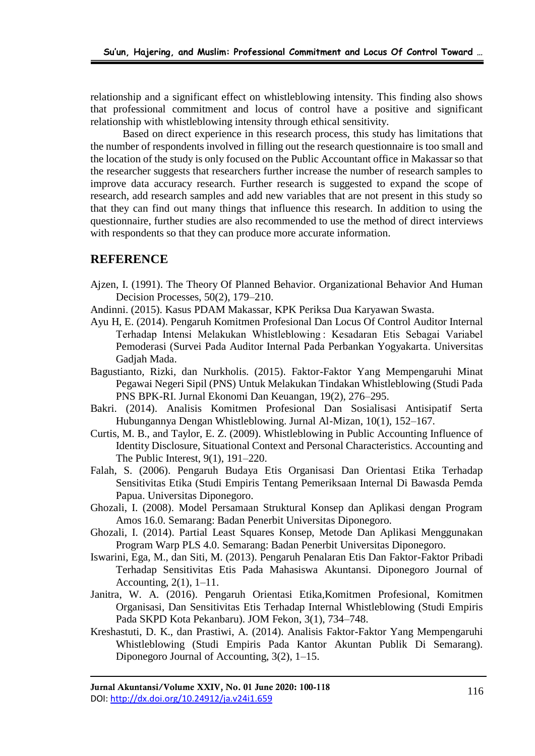relationship and a significant effect on whistleblowing intensity. This finding also shows that professional commitment and locus of control have a positive and significant relationship with whistleblowing intensity through ethical sensitivity.

Based on direct experience in this research process, this study has limitations that the number of respondents involved in filling out the research questionnaire is too small and the location of the study is only focused on the Public Accountant office in Makassar so that the researcher suggests that researchers further increase the number of research samples to improve data accuracy research. Further research is suggested to expand the scope of research, add research samples and add new variables that are not present in this study so that they can find out many things that influence this research. In addition to using the questionnaire, further studies are also recommended to use the method of direct interviews with respondents so that they can produce more accurate information.

## **REFERENCE**

- Ajzen, I. (1991). The Theory Of Planned Behavior. Organizational Behavior And Human Decision Processes, 50(2), 179–210.
- Andinni. (2015). Kasus PDAM Makassar, KPK Periksa Dua Karyawan Swasta.
- Ayu H, E. (2014). Pengaruh Komitmen Profesional Dan Locus Of Control Auditor Internal Terhadap Intensi Melakukan Whistleblowing : Kesadaran Etis Sebagai Variabel Pemoderasi (Survei Pada Auditor Internal Pada Perbankan Yogyakarta. Universitas Gadjah Mada.
- Bagustianto, Rizki, dan Nurkholis. (2015). Faktor-Faktor Yang Mempengaruhi Minat Pegawai Negeri Sipil (PNS) Untuk Melakukan Tindakan Whistleblowing (Studi Pada PNS BPK-RI. Jurnal Ekonomi Dan Keuangan, 19(2), 276–295.
- Bakri. (2014). Analisis Komitmen Profesional Dan Sosialisasi Antisipatif Serta Hubungannya Dengan Whistleblowing. Jurnal Al-Mizan, 10(1), 152–167.
- Curtis, M. B., and Taylor, E. Z. (2009). Whistleblowing in Public Accounting Influence of Identity Disclosure, Situational Context and Personal Characteristics. Accounting and The Public Interest, 9(1), 191–220.
- Falah, S. (2006). Pengaruh Budaya Etis Organisasi Dan Orientasi Etika Terhadap Sensitivitas Etika (Studi Empiris Tentang Pemeriksaan Internal Di Bawasda Pemda Papua. Universitas Diponegoro.
- Ghozali, I. (2008). Model Persamaan Struktural Konsep dan Aplikasi dengan Program Amos 16.0. Semarang: Badan Penerbit Universitas Diponegoro.
- Ghozali, I. (2014). Partial Least Squares Konsep, Metode Dan Aplikasi Menggunakan Program Warp PLS 4.0. Semarang: Badan Penerbit Universitas Diponegoro.
- Iswarini, Ega, M., dan Siti, M. (2013). Pengaruh Penalaran Etis Dan Faktor-Faktor Pribadi Terhadap Sensitivitas Etis Pada Mahasiswa Akuntansi. Diponegoro Journal of Accounting, 2(1), 1–11.
- Janitra, W. A. (2016). Pengaruh Orientasi Etika,Komitmen Profesional, Komitmen Organisasi, Dan Sensitivitas Etis Terhadap Internal Whistleblowing (Studi Empiris Pada SKPD Kota Pekanbaru). JOM Fekon, 3(1), 734–748.
- Kreshastuti, D. K., dan Prastiwi, A. (2014). Analisis Faktor-Faktor Yang Mempengaruhi Whistleblowing (Studi Empiris Pada Kantor Akuntan Publik Di Semarang). Diponegoro Journal of Accounting, 3(2), 1–15.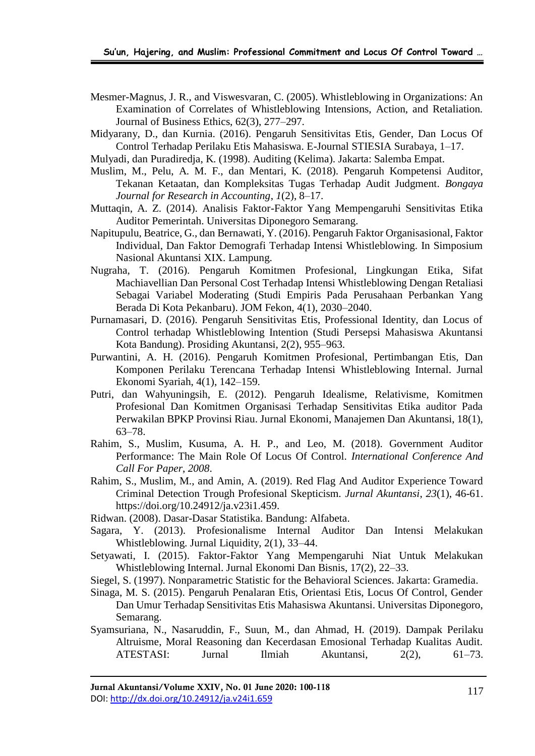- Mesmer-Magnus, J. R., and Viswesvaran, C. (2005). Whistleblowing in Organizations: An Examination of Correlates of Whistleblowing Intensions, Action, and Retaliation. Journal of Business Ethics, 62(3), 277–297.
- Midyarany, D., dan Kurnia. (2016). Pengaruh Sensitivitas Etis, Gender, Dan Locus Of Control Terhadap Perilaku Etis Mahasiswa. E-Journal STIESIA Surabaya, 1–17.
- Mulyadi, dan Puradiredja, K. (1998). Auditing (Kelima). Jakarta: Salemba Empat.
- Muslim, M., Pelu, A. M. F., dan Mentari, K. (2018). Pengaruh Kompetensi Auditor, Tekanan Ketaatan, dan Kompleksitas Tugas Terhadap Audit Judgment. *Bongaya Journal for Research in Accounting*, *1*(2), 8–17.
- Muttaqin, A. Z. (2014). Analisis Faktor-Faktor Yang Mempengaruhi Sensitivitas Etika Auditor Pemerintah. Universitas Diponegoro Semarang.
- Napitupulu, Beatrice, G., dan Bernawati, Y. (2016). Pengaruh Faktor Organisasional, Faktor Individual, Dan Faktor Demografi Terhadap Intensi Whistleblowing. In Simposium Nasional Akuntansi XIX. Lampung.
- Nugraha, T. (2016). Pengaruh Komitmen Profesional, Lingkungan Etika, Sifat Machiavellian Dan Personal Cost Terhadap Intensi Whistleblowing Dengan Retaliasi Sebagai Variabel Moderating (Studi Empiris Pada Perusahaan Perbankan Yang Berada Di Kota Pekanbaru). JOM Fekon, 4(1), 2030–2040.
- Purnamasari, D. (2016). Pengaruh Sensitivitas Etis, Professional Identity, dan Locus of Control terhadap Whistleblowing Intention (Studi Persepsi Mahasiswa Akuntansi Kota Bandung). Prosiding Akuntansi, 2(2), 955–963.
- Purwantini, A. H. (2016). Pengaruh Komitmen Profesional, Pertimbangan Etis, Dan Komponen Perilaku Terencana Terhadap Intensi Whistleblowing Internal. Jurnal Ekonomi Syariah, 4(1), 142–159.
- Putri, dan Wahyuningsih, E. (2012). Pengaruh Idealisme, Relativisme, Komitmen Profesional Dan Komitmen Organisasi Terhadap Sensitivitas Etika auditor Pada Perwakilan BPKP Provinsi Riau. Jurnal Ekonomi, Manajemen Dan Akuntansi, 18(1), 63–78.
- Rahim, S., Muslim, Kusuma, A. H. P., and Leo, M. (2018). Government Auditor Performance: The Main Role Of Locus Of Control. *International Conference And Call For Paper*, *2008*.
- Rahim, S., Muslim, M., and Amin, A. (2019). Red Flag And Auditor Experience Toward Criminal Detection Trough Profesional Skepticism. *Jurnal Akuntansi*, *23*(1), 46-61. https://doi.org/10.24912/ja.v23i1.459.
- Ridwan. (2008). Dasar-Dasar Statistika. Bandung: Alfabeta.
- Sagara, Y. (2013). Profesionalisme Internal Auditor Dan Intensi Melakukan Whistleblowing. Jurnal Liquidity, 2(1), 33–44.
- Setyawati, I. (2015). Faktor-Faktor Yang Mempengaruhi Niat Untuk Melakukan Whistleblowing Internal. Jurnal Ekonomi Dan Bisnis, 17(2), 22–33.
- Siegel, S. (1997). Nonparametric Statistic for the Behavioral Sciences. Jakarta: Gramedia.
- Sinaga, M. S. (2015). Pengaruh Penalaran Etis, Orientasi Etis, Locus Of Control, Gender Dan Umur Terhadap Sensitivitas Etis Mahasiswa Akuntansi. Universitas Diponegoro, Semarang.
- Syamsuriana, N., Nasaruddin, F., Suun, M., dan Ahmad, H. (2019). Dampak Perilaku Altruisme, Moral Reasoning dan Kecerdasan Emosional Terhadap Kualitas Audit. ATESTASI: Jurnal Ilmiah Akuntansi, 2(2), 61–73.